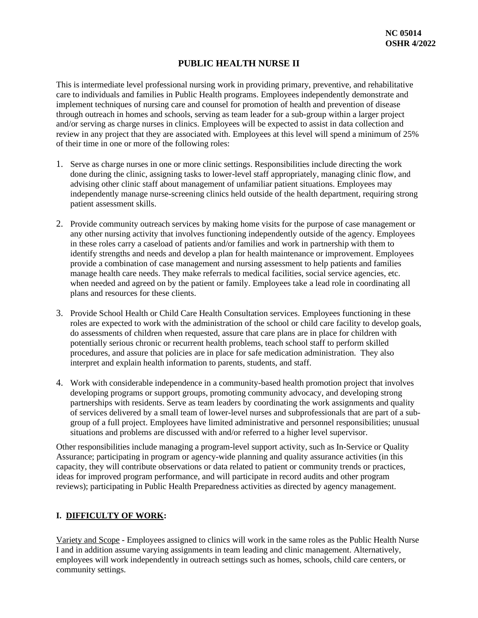# **PUBLIC HEALTH NURSE II**

This is intermediate level professional nursing work in providing primary, preventive, and rehabilitative care to individuals and families in Public Health programs. Employees independently demonstrate and implement techniques of nursing care and counsel for promotion of health and prevention of disease through outreach in homes and schools, serving as team leader for a sub-group within a larger project and/or serving as charge nurses in clinics. Employees will be expected to assist in data collection and review in any project that they are associated with. Employees at this level will spend a minimum of 25% of their time in one or more of the following roles:

- 1. Serve as charge nurses in one or more clinic settings. Responsibilities include directing the work done during the clinic, assigning tasks to lower-level staff appropriately, managing clinic flow, and advising other clinic staff about management of unfamiliar patient situations. Employees may independently manage nurse-screening clinics held outside of the health department, requiring strong patient assessment skills.
- 2. Provide community outreach services by making home visits for the purpose of case management or any other nursing activity that involves functioning independently outside of the agency. Employees in these roles carry a caseload of patients and/or families and work in partnership with them to identify strengths and needs and develop a plan for health maintenance or improvement. Employees provide a combination of case management and nursing assessment to help patients and families manage health care needs. They make referrals to medical facilities, social service agencies, etc. when needed and agreed on by the patient or family. Employees take a lead role in coordinating all plans and resources for these clients.
- 3. Provide School Health or Child Care Health Consultation services. Employees functioning in these roles are expected to work with the administration of the school or child care facility to develop goals, do assessments of children when requested, assure that care plans are in place for children with potentially serious chronic or recurrent health problems, teach school staff to perform skilled procedures, and assure that policies are in place for safe medication administration. They also interpret and explain health information to parents, students, and staff.
- 4. Work with considerable independence in a community-based health promotion project that involves developing programs or support groups, promoting community advocacy, and developing strong partnerships with residents. Serve as team leaders by coordinating the work assignments and quality of services delivered by a small team of lower-level nurses and subprofessionals that are part of a subgroup of a full project. Employees have limited administrative and personnel responsibilities; unusual situations and problems are discussed with and/or referred to a higher level supervisor.

Other responsibilities include managing a program-level support activity, such as In-Service or Quality Assurance; participating in program or agency-wide planning and quality assurance activities (in this capacity, they will contribute observations or data related to patient or community trends or practices, ideas for improved program performance, and will participate in record audits and other program reviews); participating in Public Health Preparedness activities as directed by agency management.

#### **I. DIFFICULTY OF WORK:**

Variety and Scope - Employees assigned to clinics will work in the same roles as the Public Health Nurse I and in addition assume varying assignments in team leading and clinic management. Alternatively, employees will work independently in outreach settings such as homes, schools, child care centers, or community settings.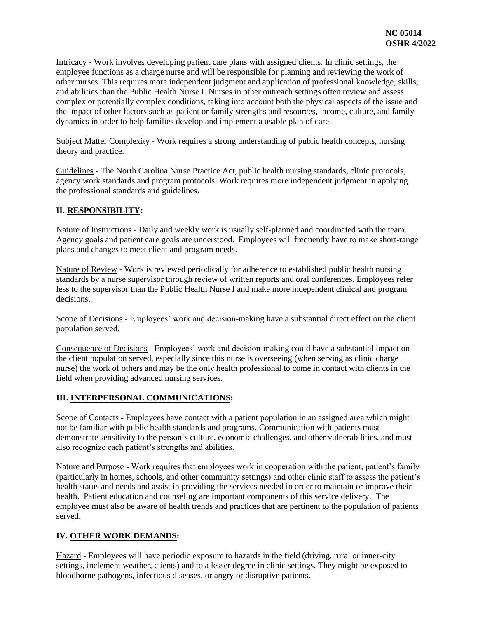Intricacy - Work involves developing patient care plans with assigned clients. In clinic settings, the employee functions as a charge nurse and will be responsible for planning and reviewing the work of other nurses. This requires more independent judgment and application of professional knowledge, skills, and abilities than the Public Health Nurse I. Nurses in other outreach settings often review and assess complex or potentially complex conditions, taking into account both the physical aspects of the issue and the impact of other factors such as patient or family strengths and resources, income, culture, and family dynamics in order to help families develop and implement a usable plan of care.

Subject Matter Complexity - Work requires a strong understanding of public health concepts, nursing theory and practice.

Guidelines - The North Carolina Nurse Practice Act, public health nursing standards, clinic protocols, agency work standards and program protocols. Work requires more independent judgment in applying the professional standards and guidelines.

### **II. RESPONSIBILITY:**

Nature of Instructions - Daily and weekly work is usually self-planned and coordinated with the team. Agency goals and patient care goals are understood. Employees will frequently have to make short-range plans and changes to meet client and program needs.

Nature of Review - Work is reviewed periodically for adherence to established public health nursing standards by a nurse supervisor through review of written reports and oral conferences. Employees refer less to the supervisor than the Public Health Nurse I and make more independent clinical and program decisions.

Scope of Decisions - Employees' work and decision-making have a substantial direct effect on the client population served.

Consequence of Decisions - Employees' work and decision-making could have a substantial impact on the client population served, especially since this nurse is overseeing (when serving as clinic charge nurse) the work of others and may be the only health professional to come in contact with clients in the field when providing advanced nursing services.

#### **III. INTERPERSONAL COMMUNICATIONS:**

Scope of Contacts - Employees have contact with a patient population in an assigned area which might not be familiar with public health standards and programs. Communication with patients must demonstrate sensitivity to the person's culture, economic challenges, and other vulnerabilities, and must also recognize each patient's strengths and abilities.

Nature and Purpose - Work requires that employees work in cooperation with the patient, patient's family (particularly in homes, schools, and other community settings) and other clinic staff to assess the patient's health status and needs and assist in providing the services needed in order to maintain or improve their health. Patient education and counseling are important components of this service delivery. The employee must also be aware of health trends and practices that are pertinent to the population of patients served.

# **IV. OTHER WORK DEMANDS:**

Hazard - Employees will have periodic exposure to hazards in the field (driving, rural or inner-city settings, inclement weather, clients) and to a lesser degree in clinic settings. They might be exposed to bloodborne pathogens, infectious diseases, or angry or disruptive patients.